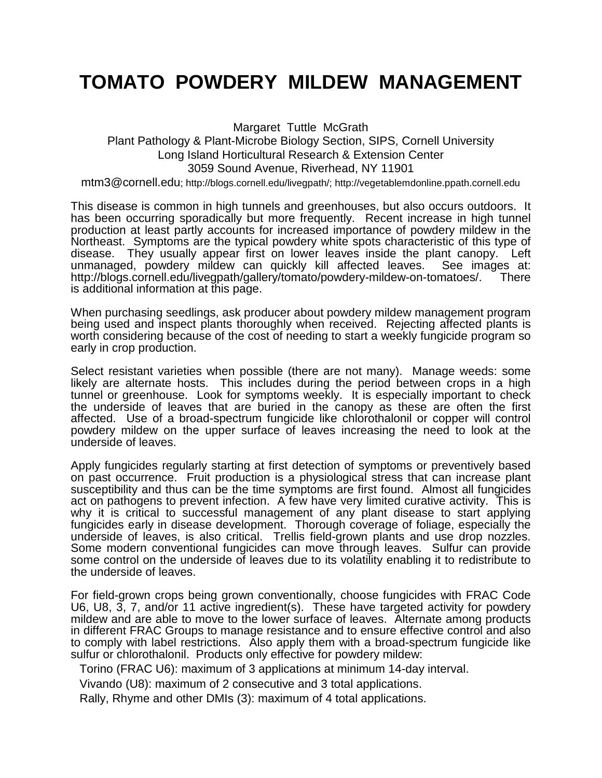## **TOMATO POWDERY MILDEW MANAGEMENT**

Margaret Tuttle McGrath Plant Pathology & Plant-Microbe Biology Section, SIPS, Cornell University Long Island Horticultural Research & Extension Center 3059 Sound Avenue, Riverhead, NY 11901

mtm3@cornell.edu; http://blogs.cornell.edu/livegpath/; http://vegetablemdonline.ppath.cornell.edu

This disease is common in high tunnels and greenhouses, but also occurs outdoors. It has been occurring sporadically but more frequently. Recent increase in high tunnel production at least partly accounts for increased importance of powdery mildew in the Northeast. Symptoms are the typical powdery white spots characteristic of this type of disease. They usually appear first on lower leaves inside the plant canopy. Left unmanaged, powdery mildew can quickly kill affected leaves. See images at: http://blogs.cornell.edu/livegpath/gallery/tomato/powdery-mildew-on-tomatoes/. There is additional information at this page.

When purchasing seedlings, ask producer about powdery mildew management program being used and inspect plants thoroughly when received. Rejecting affected plants is worth considering because of the cost of needing to start a weekly fungicide program so early in crop production.

Select resistant varieties when possible (there are not many). Manage weeds: some likely are alternate hosts. This includes during the period between crops in a high tunnel or greenhouse. Look for symptoms weekly. It is especially important to check the underside of leaves that are buried in the canopy as these are often the first affected. Use of a broad-spectrum fungicide like chlorothalonil or copper will control powdery mildew on the upper surface of leaves increasing the need to look at the underside of leaves.

Apply fungicides regularly starting at first detection of symptoms or preventively based on past occurrence. Fruit production is a physiological stress that can increase plant susceptibility and thus can be the time symptoms are first found. Almost all fungicides act on pathogens to prevent infection. A few have very limited curative activity. This is why it is critical to successful management of any plant disease to start applying fungicides early in disease development. Thorough coverage of foliage, especially the underside of leaves, is also critical. Trellis field-grown plants and use drop nozzles. Some modern conventional fungicides can move through leaves. Sulfur can provide some control on the underside of leaves due to its volatility enabling it to redistribute to the underside of leaves.

For field-grown crops being grown conventionally, choose fungicides with FRAC Code U6, U8, 3, 7, and/or 11 active ingredient(s). These have targeted activity for powdery mildew and are able to move to the lower surface of leaves. Alternate among products in different FRAC Groups to manage resistance and to ensure effective control and also to comply with label restrictions. Also apply them with a broad-spectrum fungicide like sulfur or chlorothalonil. Products only effective for powdery mildew:

Torino (FRAC U6): maximum of 3 applications at minimum 14-day interval.

Vivando (U8): maximum of 2 consecutive and 3 total applications.

Rally, Rhyme and other DMIs (3): maximum of 4 total applications.